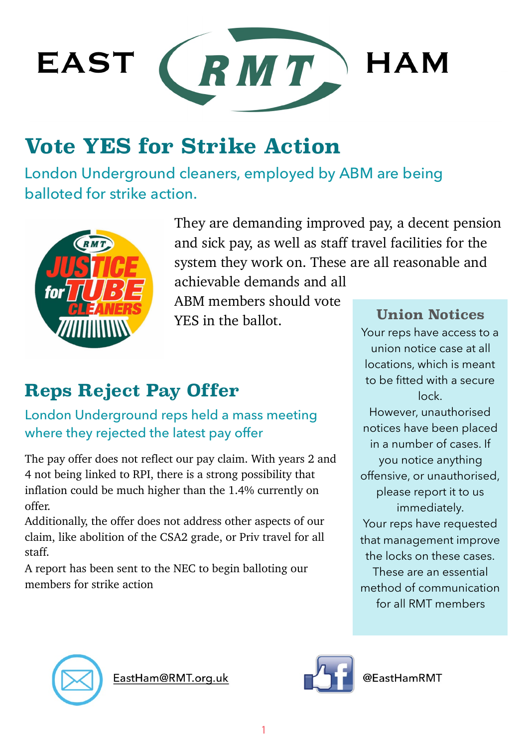

# **Vote YES for Strike Action**

London Underground cleaners, employed by ABM are being balloted for strike action.



They are demanding improved pay, a decent pension and sick pay, as well as staff travel facilities for the system they work on. These are all reasonable and

achievable demands and all ABM members should vote YES in the ballot.

## **Reps Reject Pay Offer**

### London Underground reps held a mass meeting where they rejected the latest pay offer

The pay offer does not reflect our pay claim. With years 2 and 4 not being linked to RPI, there is a strong possibility that inflation could be much higher than the 1.4% currently on offer.

Additionally, the offer does not address other aspects of our claim, like abolition of the CSA2 grade, or Priv travel for all staff.

A report has been sent to the NEC to begin balloting our members for strike action

#### **Union Notices**

Your reps have access to a union notice case at all locations, which is meant to be fitted with a secure lock.

However, unauthorised notices have been placed in a number of cases. If you notice anything offensive, or unauthorised, please report it to us immediately. Your reps have requested that management improve the locks on these cases.

These are an essential method of communication for all RMT members



EastHam@RMT.org.uk



@FastHamRMT